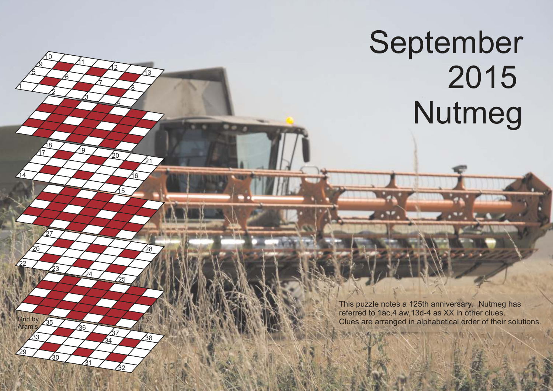## September 2015 Nutmeg

1

14

22

29

**Grid by** Arami

5

9 10

17 18

27

23

<u>30</u>

<u>35</u>

 $33 / 34$ 

36

**′2** 

6

3

i a

26 28

24

<u>31</u>

11

7

4

חל

<u>15</u>

25

<u>32</u>

38

37

16

 $\sqrt{21}$ 

12

8

13

This puzzle notes a 125th anniversary. Nutmeg has referred to 1ac,4 aw,13d-4 as XX in other clues. Clues are arranged in alphabetical order of their solutions.